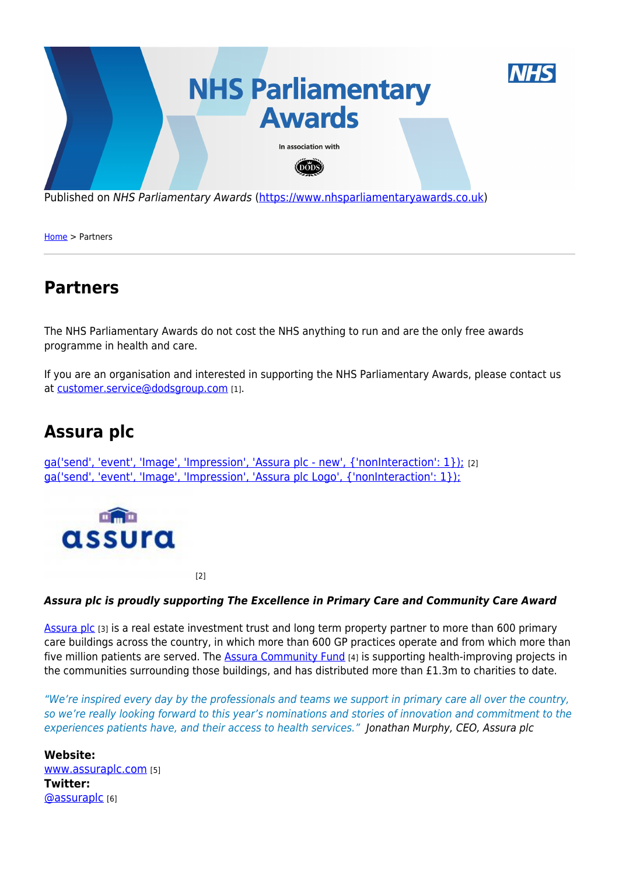

Published on NHS Parliamentary Awards [\(https://www.nhsparliamentaryawards.co.uk](https://www.nhsparliamentaryawards.co.uk))

[Home](https://www.nhsparliamentaryawards.co.uk/) > Partners

### **Partners**

The NHS Parliamentary Awards do not cost the NHS anything to run and are the only free awards programme in health and care.

If you are an organisation and interested in supporting the NHS Parliamentary Awards, please contact us at [customer.service@dodsgroup.com](mailto:customer.service@dodsgroup.com?subject=NHS Parliamentary Awards) [1].

## **Assura plc**

[ga\('send', 'event', 'Image', 'Impression', 'Assura plc - new', {'nonInteraction': 1}\);](https://www.nhsparliamentaryawards.co.uk/partner/assura-plc) [2] [ga\('send', 'event', 'Image', 'Impression', 'Assura plc Logo', {'nonInteraction': 1}\);](https://www.nhsparliamentaryawards.co.uk/partner/assura-plc)



 $[2]$ 

#### *Assura plc is proudly supporting The Excellence in Primary Care and Community Care Award*

[Assura plc](https://www.assuraplc.com/) [3] is a real estate investment trust and long term property partner to more than 600 primary care buildings across the country, in which more than 600 GP practices operate and from which more than five million patients are served. The **[Assura Community Fund](https://www.assuraplc.com/assura-community-fund)** [4] is supporting health-improving projects in the communities surrounding those buildings, and has distributed more than £1.3m to charities to date.

"We're inspired every day by the professionals and teams we support in primary care all over the country, so we're really looking forward to this year's nominations and stories of innovation and commitment to the experiences patients have, and their access to health services." Jonathan Murphy, CEO, Assura plc

**Website:**  [www.assuraplc.com](http://www.assuraplc.com) [5] **Twitter:**  [@assuraplc](http://twitter.com/assuraplc) [6]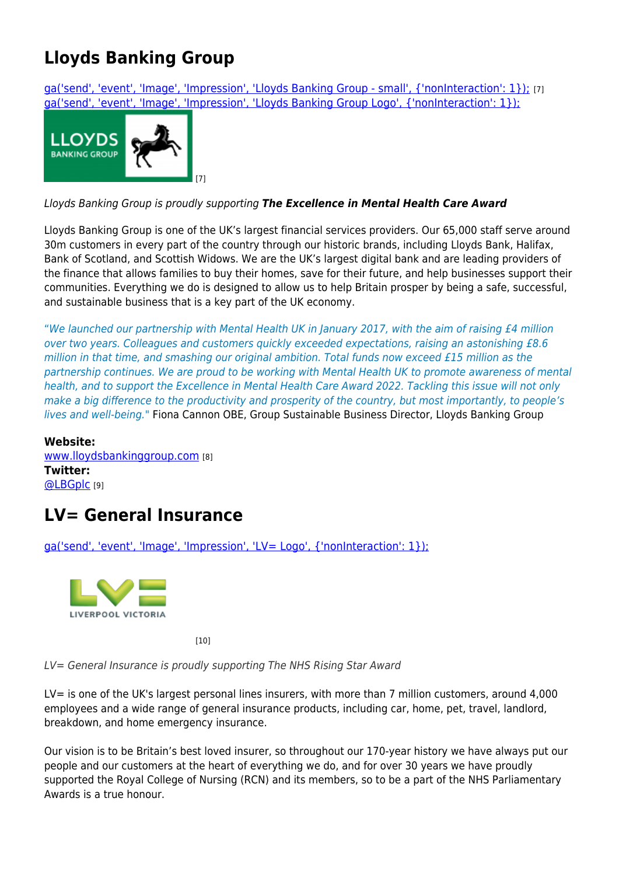# **Lloyds Banking Group**

[ga\('send', 'event', 'Image', 'Impression', 'Lloyds Banking Group - small', {'nonInteraction': 1}\);](https://www.nhsparliamentaryawards.co.uk/partner/lloyds-banking-group) [7] [ga\('send', 'event', 'Image', 'Impression', 'Lloyds Banking Group Logo', {'nonInteraction': 1}\);](https://www.nhsparliamentaryawards.co.uk/partner/lloyds-banking-group)



### Lloyds Banking Group is proudly supporting *The Excellence in Mental Health Care Award*

Lloyds Banking Group is one of the UK's largest financial services providers. Our 65,000 staff serve around 30m customers in every part of the country through our historic brands, including Lloyds Bank, Halifax, Bank of Scotland, and Scottish Widows. We are the UK's largest digital bank and are leading providers of the finance that allows families to buy their homes, save for their future, and help businesses support their communities. Everything we do is designed to allow us to help Britain prosper by being a safe, successful, and sustainable business that is a key part of the UK economy.

"We launched our partnership with Mental Health UK in January 2017, with the aim of raising £4 million over two years. Colleagues and customers quickly exceeded expectations, raising an astonishing £8.6 million in that time, and smashing our original ambition. Total funds now exceed £15 million as the partnership continues. We are proud to be working with Mental Health UK to promote awareness of mental health, and to support the Excellence in Mental Health Care Award 2022. Tackling this issue will not only make a big difference to the productivity and prosperity of the country, but most importantly, to people's lives and well-being." Fiona Cannon OBE, Group Sustainable Business Director, Lloyds Banking Group

#### **Website:**

[www.lloydsbankinggroup.com](https://www.lloydsbankinggroup.com/who-we-are/responsible-business/mental-health-uk-partnership.html) [8] **Twitter:**  [@LBGplc](http://twitter.com/LBGplc) [9]

## **LV= General Insurance**

[ga\('send', 'event', 'Image', 'Impression', 'LV= Logo', {'nonInteraction': 1}\);](https://www.nhsparliamentaryawards.co.uk/partner/lv-general-insurance)



[10]

LV= General Insurance is proudly supporting The NHS Rising Star Award

LV= is one of the UK's largest personal lines insurers, with more than 7 million customers, around 4,000 employees and a wide range of general insurance products, including car, home, pet, travel, landlord, breakdown, and home emergency insurance.

Our vision is to be Britain's best loved insurer, so throughout our 170-year history we have always put our people and our customers at the heart of everything we do, and for over 30 years we have proudly supported the Royal College of Nursing (RCN) and its members, so to be a part of the NHS Parliamentary Awards is a true honour.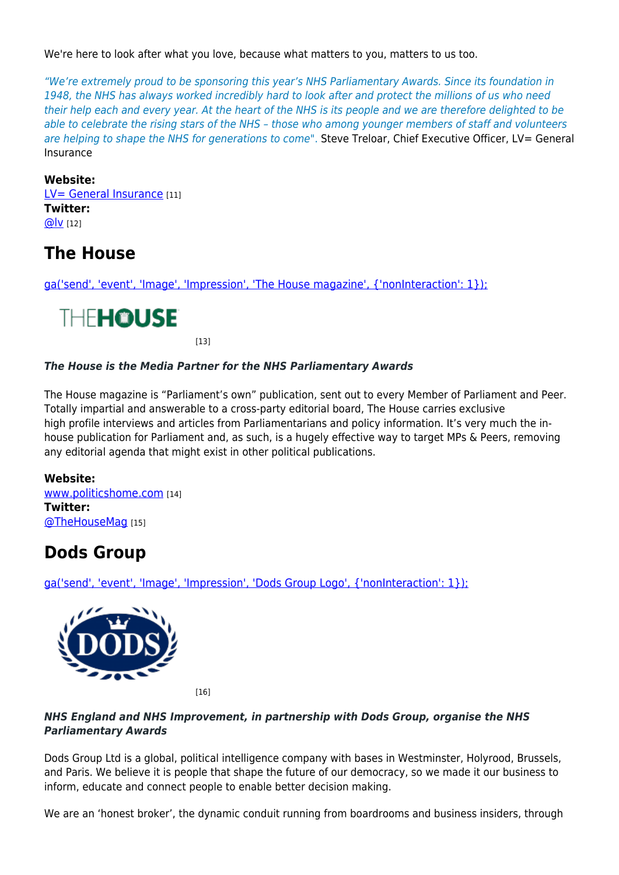We're here to look after what you love, because what matters to you, matters to us too.

"We're extremely proud to be sponsoring this year's NHS Parliamentary Awards. Since its foundation in 1948, the NHS has always worked incredibly hard to look after and protect the millions of us who need their help each and every year. At the heart of the NHS is its people and we are therefore delighted to be able to celebrate the rising stars of the NHS – those who among younger members of staff and volunteers are helping to shape the NHS for generations to come". Steve Treloar, Chief Executive Officer, LV= General Insurance

#### **Website:**

[LV= General Insurance](https://www.lv.com/insurance) [11] **Twitter:**  [@lv](http://twitter.com/lv) [12]

### **The House**

[ga\('send', 'event', 'Image', 'Impression', 'The House magazine', {'nonInteraction': 1}\);](https://www.nhsparliamentaryawards.co.uk/partner/house)



[13]

#### *The House is the Media Partner for the NHS Parliamentary Awards*

The House magazine is "Parliament's own" publication, sent out to every Member of Parliament and Peer. Totally impartial and answerable to a cross-party editorial board, The House carries exclusive high profile interviews and articles from Parliamentarians and policy information. It's very much the inhouse publication for Parliament and, as such, is a hugely effective way to target MPs & Peers, removing any editorial agenda that might exist in other political publications.

#### **Website:**

[www.politicshome.com](https://www.politicshome.com/thehouse/magazine.htm) [14] **Twitter:**  [@TheHouseMag](http://twitter.com/TheHouseMag) [15]

### **Dods Group**

[ga\('send', 'event', 'Image', 'Impression', 'Dods Group Logo', {'nonInteraction': 1}\);](https://www.nhsparliamentaryawards.co.uk/partner/dods-group)



[16]

### *NHS England and NHS Improvement, in partnership with Dods Group, organise the NHS Parliamentary Awards*

Dods Group Ltd is a global, political intelligence company with bases in Westminster, Holyrood, Brussels, and Paris. We believe it is people that shape the future of our democracy, so we made it our business to inform, educate and connect people to enable better decision making.

We are an 'honest broker', the dynamic conduit running from boardrooms and business insiders, through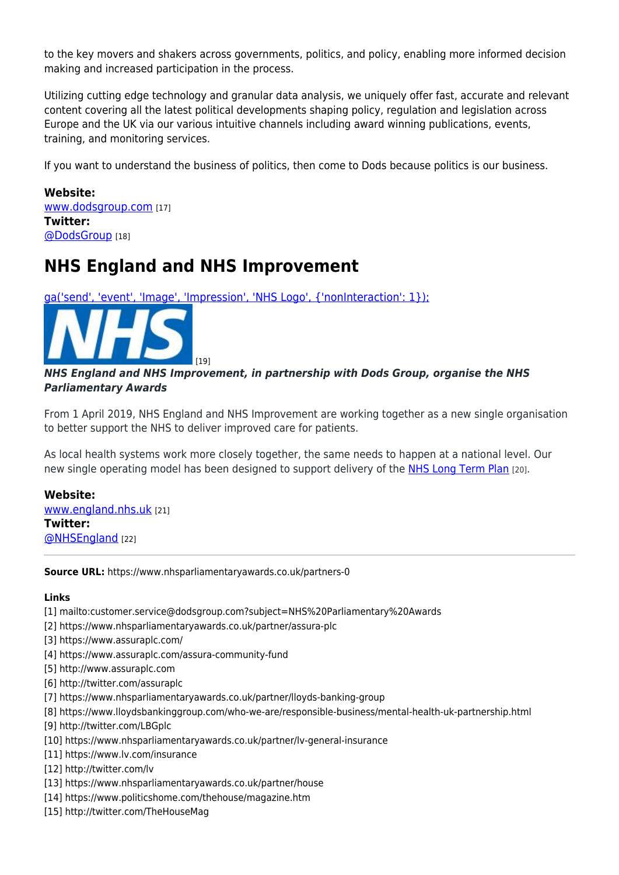to the key movers and shakers across governments, politics, and policy, enabling more informed decision making and increased participation in the process.

Utilizing cutting edge technology and granular data analysis, we uniquely offer fast, accurate and relevant content covering all the latest political developments shaping policy, regulation and legislation across Europe and the UK via our various intuitive channels including award winning publications, events, training, and monitoring services.

If you want to understand the business of politics, then come to Dods because politics is our business.

**Website:**  [www.dodsgroup.com](https://www.dodsgroup.com/) [17] **Twitter:**  [@DodsGroup](http://twitter.com/DodsGroup) [18]

### **NHS England and NHS Improvement**

[ga\('send', 'event', 'Image', 'Impression', 'NHS Logo', {'nonInteraction': 1}\);](https://www.nhsparliamentaryawards.co.uk/partner/nhs-england-and-nhs-improvement)



### *NHS England and NHS Improvement, in partnership with Dods Group, organise the NHS Parliamentary Awards*

From 1 April 2019, NHS England and NHS Improvement are working together as a new single organisation to better support the NHS to deliver improved care for patients.

As local health systems work more closely together, the same needs to happen at a national level. Our new single operating model has been designed to support delivery of the [NHS Long Term Plan](https://www.longtermplan.nhs.uk/) [20].

**Website:**  [www.england.nhs.uk](https://www.england.nhs.uk/about/about-nhs-england/) [21] **Twitter:**  [@NHSEngland](http://twitter.com/NHSEngland) [22]

**Source URL:** https://www.nhsparliamentaryawards.co.uk/partners-0

#### **Links**

- [1] mailto:customer.service@dodsgroup.com?subject=NHS%20Parliamentary%20Awards
- [2] https://www.nhsparliamentaryawards.co.uk/partner/assura-plc
- [3] https://www.assuraplc.com/
- [4] https://www.assuraplc.com/assura-community-fund
- [5] http://www.assuraplc.com
- [6] http://twitter.com/assuraplc
- [7] https://www.nhsparliamentaryawards.co.uk/partner/lloyds-banking-group
- [8] https://www.lloydsbankinggroup.com/who-we-are/responsible-business/mental-health-uk-partnership.html
- [9] http://twitter.com/LBGplc
- [10] https://www.nhsparliamentaryawards.co.uk/partner/lv-general-insurance
- [11] https://www.lv.com/insurance
- [12] http://twitter.com/lv
- [13] https://www.nhsparliamentaryawards.co.uk/partner/house
- [14] https://www.politicshome.com/thehouse/magazine.htm
- [15] http://twitter.com/TheHouseMag